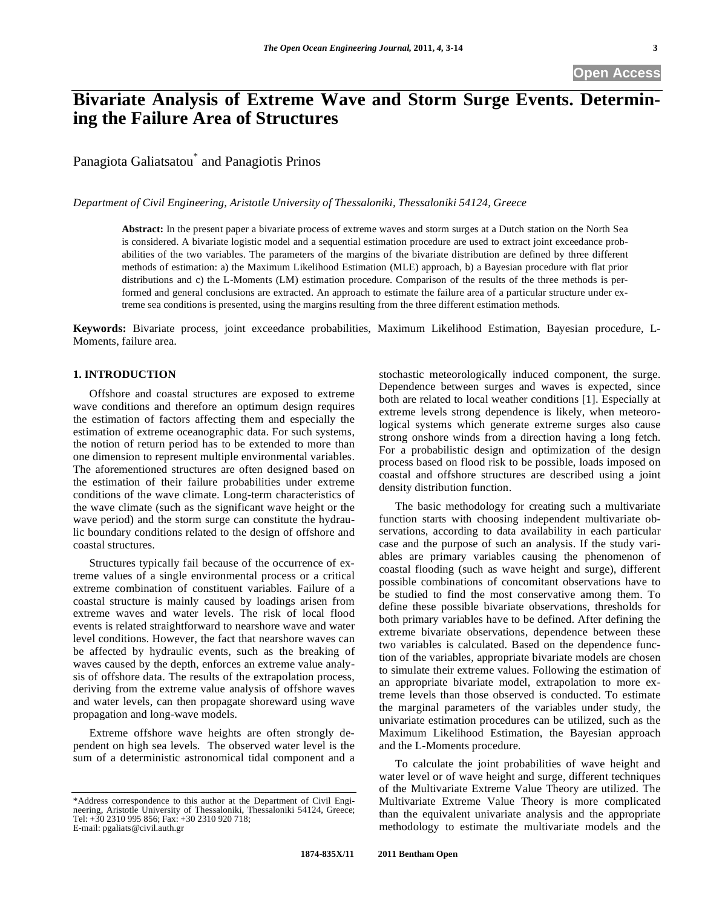**Open Access** 

# **Bivariate Analysis of Extreme Wave and Storm Surge Events. Determining the Failure Area of Structures**

Panagiota Galiatsatou\* and Panagiotis Prinos

*Department of Civil Engineering, Aristotle University of Thessaloniki, Thessaloniki 54124, Greece* 

**Abstract:** In the present paper a bivariate process of extreme waves and storm surges at a Dutch station on the North Sea is considered. A bivariate logistic model and a sequential estimation procedure are used to extract joint exceedance probabilities of the two variables. The parameters of the margins of the bivariate distribution are defined by three different methods of estimation: a) the Maximum Likelihood Estimation (MLE) approach, b) a Bayesian procedure with flat prior distributions and c) the L-Moments (LM) estimation procedure. Comparison of the results of the three methods is performed and general conclusions are extracted. An approach to estimate the failure area of a particular structure under extreme sea conditions is presented, using the margins resulting from the three different estimation methods.

**Keywords:** Bivariate process, joint exceedance probabilities, Maximum Likelihood Estimation, Bayesian procedure, L-Moments, failure area.

### **1. INTRODUCTION**

Offshore and coastal structures are exposed to extreme wave conditions and therefore an optimum design requires the estimation of factors affecting them and especially the estimation of extreme oceanographic data. For such systems, the notion of return period has to be extended to more than one dimension to represent multiple environmental variables. The aforementioned structures are often designed based on the estimation of their failure probabilities under extreme conditions of the wave climate. Long-term characteristics of the wave climate (such as the significant wave height or the wave period) and the storm surge can constitute the hydraulic boundary conditions related to the design of offshore and coastal structures.

Structures typically fail because of the occurrence of extreme values of a single environmental process or a critical extreme combination of constituent variables. Failure of a coastal structure is mainly caused by loadings arisen from extreme waves and water levels. The risk of local flood events is related straightforward to nearshore wave and water level conditions. However, the fact that nearshore waves can be affected by hydraulic events, such as the breaking of waves caused by the depth, enforces an extreme value analysis of offshore data. The results of the extrapolation process, deriving from the extreme value analysis of offshore waves and water levels, can then propagate shoreward using wave propagation and long-wave models.

Extreme offshore wave heights are often strongly dependent on high sea levels. The observed water level is the sum of a deterministic astronomical tidal component and a stochastic meteorologically induced component, the surge. Dependence between surges and waves is expected, since both are related to local weather conditions [1]. Especially at extreme levels strong dependence is likely, when meteorological systems which generate extreme surges also cause strong onshore winds from a direction having a long fetch. For a probabilistic design and optimization of the design process based on flood risk to be possible, loads imposed on coastal and offshore structures are described using a joint density distribution function.

The basic methodology for creating such a multivariate function starts with choosing independent multivariate observations, according to data availability in each particular case and the purpose of such an analysis. If the study variables are primary variables causing the phenomenon of coastal flooding (such as wave height and surge), different possible combinations of concomitant observations have to be studied to find the most conservative among them. To define these possible bivariate observations, thresholds for both primary variables have to be defined. After defining the extreme bivariate observations, dependence between these two variables is calculated. Based on the dependence function of the variables, appropriate bivariate models are chosen to simulate their extreme values. Following the estimation of an appropriate bivariate model, extrapolation to more extreme levels than those observed is conducted. To estimate the marginal parameters of the variables under study, the univariate estimation procedures can be utilized, such as the Maximum Likelihood Estimation, the Bayesian approach and the L-Moments procedure.

To calculate the joint probabilities of wave height and water level or of wave height and surge, different techniques of the Multivariate Extreme Value Theory are utilized. The Multivariate Extreme Value Theory is more complicated than the equivalent univariate analysis and the appropriate methodology to estimate the multivariate models and the

<sup>\*</sup>Address correspondence to this author at the Department of Civil Engineering, Aristotle University of Thessaloniki, Thessaloniki 54124, Greece; Tel: +30 2310 995 856; Fax: +30 2310 920 718; E-mail: pgaliats@civil.auth.gr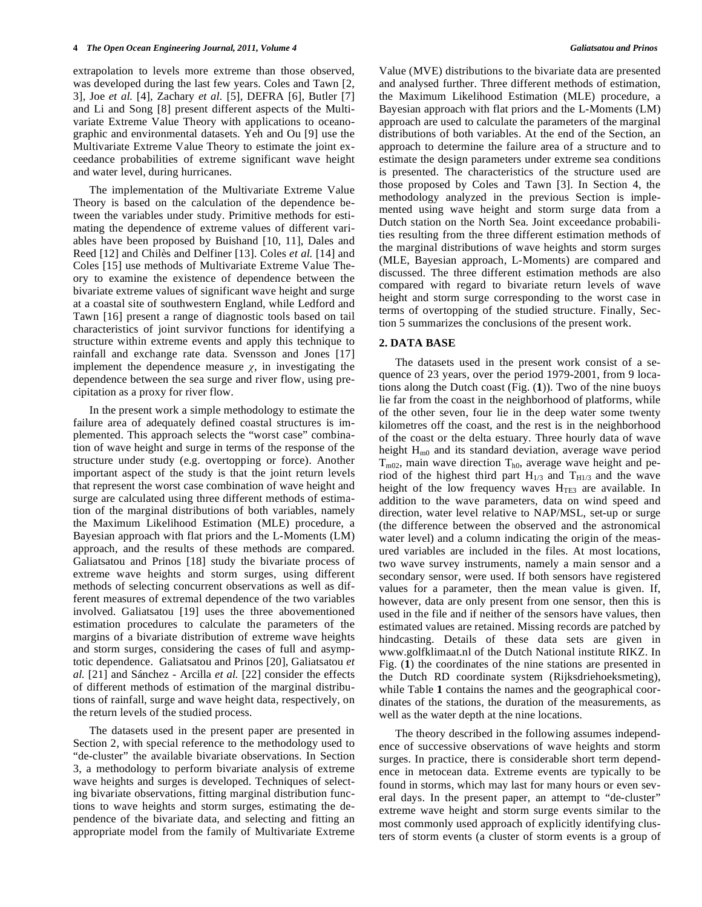extrapolation to levels more extreme than those observed, was developed during the last few years. Coles and Tawn [2, 3], Joe *et al.* [4], Zachary *et al.* [5], DEFRA [6], Butler [7] and Li and Song [8] present different aspects of the Multivariate Extreme Value Theory with applications to oceanographic and environmental datasets. Yeh and Ou [9] use the Multivariate Extreme Value Theory to estimate the joint exceedance probabilities of extreme significant wave height and water level, during hurricanes.

The implementation of the Multivariate Extreme Value Theory is based on the calculation of the dependence between the variables under study. Primitive methods for estimating the dependence of extreme values of different variables have been proposed by Buishand [10, 11], Dales and Reed [12] and Chilès and Delfiner [13]. Coles *et al.* [14] and Coles [15] use methods of Multivariate Extreme Value Theory to examine the existence of dependence between the bivariate extreme values of significant wave height and surge at a coastal site of southwestern England, while Ledford and Tawn [16] present a range of diagnostic tools based on tail characteristics of joint survivor functions for identifying a structure within extreme events and apply this technique to rainfall and exchange rate data. Svensson and Jones [17] implement the dependence measure  $\chi$ , in investigating the dependence between the sea surge and river flow, using precipitation as a proxy for river flow.

In the present work a simple methodology to estimate the failure area of adequately defined coastal structures is implemented. This approach selects the "worst case" combination of wave height and surge in terms of the response of the structure under study (e.g. overtopping or force). Another important aspect of the study is that the joint return levels that represent the worst case combination of wave height and surge are calculated using three different methods of estimation of the marginal distributions of both variables, namely the Maximum Likelihood Estimation (MLE) procedure, a Bayesian approach with flat priors and the L-Moments (LM) approach, and the results of these methods are compared. Galiatsatou and Prinos [18] study the bivariate process of extreme wave heights and storm surges, using different methods of selecting concurrent observations as well as different measures of extremal dependence of the two variables involved. Galiatsatou [19] uses the three abovementioned estimation procedures to calculate the parameters of the margins of a bivariate distribution of extreme wave heights and storm surges, considering the cases of full and asymptotic dependence. Galiatsatou and Prinos [20], Galiatsatou *et al.* [21] and Sánchez - Arcilla *et al.* [22] consider the effects of different methods of estimation of the marginal distributions of rainfall, surge and wave height data, respectively, on the return levels of the studied process.

The datasets used in the present paper are presented in Section 2, with special reference to the methodology used to "de-cluster" the available bivariate observations. In Section 3, a methodology to perform bivariate analysis of extreme wave heights and surges is developed. Techniques of selecting bivariate observations, fitting marginal distribution functions to wave heights and storm surges, estimating the dependence of the bivariate data, and selecting and fitting an appropriate model from the family of Multivariate Extreme

Value (MVE) distributions to the bivariate data are presented and analysed further. Three different methods of estimation, the Maximum Likelihood Estimation (MLE) procedure, a Bayesian approach with flat priors and the L-Moments (LM) approach are used to calculate the parameters of the marginal distributions of both variables. At the end of the Section, an approach to determine the failure area of a structure and to estimate the design parameters under extreme sea conditions is presented. The characteristics of the structure used are those proposed by Coles and Tawn [3]. In Section 4, the methodology analyzed in the previous Section is implemented using wave height and storm surge data from a Dutch station on the North Sea. Joint exceedance probabilities resulting from the three different estimation methods of the marginal distributions of wave heights and storm surges (MLE, Bayesian approach, L-Moments) are compared and discussed. The three different estimation methods are also compared with regard to bivariate return levels of wave height and storm surge corresponding to the worst case in terms of overtopping of the studied structure. Finally, Section 5 summarizes the conclusions of the present work.

#### **2. DATA BASE**

The datasets used in the present work consist of a sequence of 23 years, over the period 1979-2001, from 9 locations along the Dutch coast (Fig. (**1**)). Two of the nine buoys lie far from the coast in the neighborhood of platforms, while of the other seven, four lie in the deep water some twenty kilometres off the coast, and the rest is in the neighborhood of the coast or the delta estuary. Three hourly data of wave height  $H_{m0}$  and its standard deviation, average wave period  $T_{m02}$ , main wave direction  $T_{h0}$ , average wave height and period of the highest third part  $H_{1/3}$  and  $T_{H1/3}$  and the wave height of the low frequency waves  $H_{TE3}$  are available. In addition to the wave parameters, data on wind speed and direction, water level relative to NAP/MSL, set-up or surge (the difference between the observed and the astronomical water level) and a column indicating the origin of the measured variables are included in the files. At most locations, two wave survey instruments, namely a main sensor and a secondary sensor, were used. If both sensors have registered values for a parameter, then the mean value is given. If, however, data are only present from one sensor, then this is used in the file and if neither of the sensors have values, then estimated values are retained. Missing records are patched by hindcasting. Details of these data sets are given in www.golfklimaat.nl of the Dutch National institute RIKZ. In Fig. (**1**) the coordinates of the nine stations are presented in the Dutch RD coordinate system (Rijksdriehoeksmeting), while Table 1 contains the names and the geographical coordinates of the stations, the duration of the measurements, as well as the water depth at the nine locations.

The theory described in the following assumes independence of successive observations of wave heights and storm surges. In practice, there is considerable short term dependence in metocean data. Extreme events are typically to be found in storms, which may last for many hours or even several days. In the present paper, an attempt to "de-cluster" extreme wave height and storm surge events similar to the most commonly used approach of explicitly identifying clusters of storm events (a cluster of storm events is a group of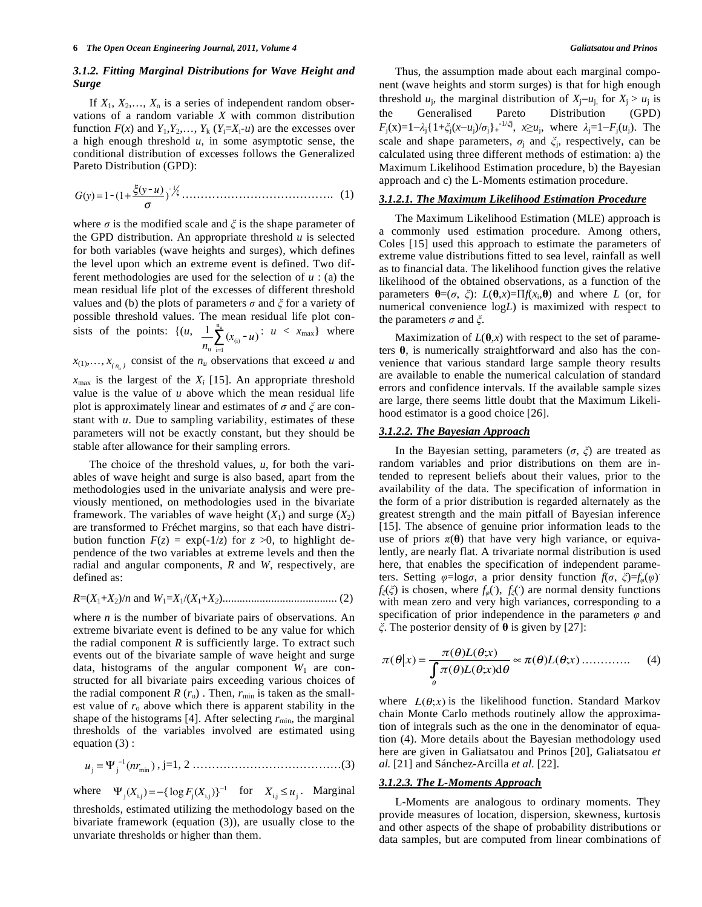# *3.1.2. Fitting Marginal Distributions for Wave Height and Surge*

If  $X_1, X_2, \ldots, X_n$  is a series of independent random observations of a random variable *X* with common distribution function  $F(x)$  and  $Y_1, Y_2, \ldots, Y_k$  ( $Y_i = X_i - u$ ) are the excesses over a high enough threshold *u*, in some asymptotic sense, the conditional distribution of excesses follows the Generalized Pareto Distribution (GPD):

*<sup>G</sup>*(*y*) <sup>=</sup>1-(1<sup>+</sup> -(*y* - *u*) ) - 1 -…………………………………. (1)

where  $\sigma$  is the modified scale and  $\xi$  is the shape parameter of the GPD distribution. An appropriate threshold *u* is selected for both variables (wave heights and surges), which defines the level upon which an extreme event is defined. Two different methodologies are used for the selection of *u* : (a) the mean residual life plot of the excesses of different threshold values and (b) the plots of parameters  $\sigma$  and  $\zeta$  for a variety of possible threshold values. The mean residual life plot consists of the points:  $\{(u, 1)\}$  $\frac{1}{n_u}$   $\sum_{i=1}^{n}$   $(x_{(i)} - u)$  $\sum_{(x_{(i)} - u) : u < x_{\text{max}} \}$  where

 $x_{(1)},..., x_{(n-1)}$  consist of the  $n_u$  observations that exceed *u* and

 $x_{\text{max}}$  is the largest of the  $X_i$  [15]. An appropriate threshold value is the value of *u* above which the mean residual life plot is approximately linear and estimates of  $\sigma$  and  $\zeta$  are constant with *u*. Due to sampling variability, estimates of these parameters will not be exactly constant, but they should be stable after allowance for their sampling errors.

The choice of the threshold values, *u*, for both the variables of wave height and surge is also based, apart from the methodologies used in the univariate analysis and were previously mentioned, on methodologies used in the bivariate framework. The variables of wave height  $(X_1)$  and surge  $(X_2)$ are transformed to Fréchet margins, so that each have distribution function  $F(z) = \exp(-1/z)$  for  $z > 0$ , to highlight dependence of the two variables at extreme levels and then the radial and angular components, *R* and *W*, respectively, are defined as:

$$
R=(X_1+X_2)/n
$$
 and  $W_1=X_1/(X_1+X_2)$ ................. (2)

where *n* is the number of bivariate pairs of observations. An extreme bivariate event is defined to be any value for which the radial component  $R$  is sufficiently large. To extract such events out of the bivariate sample of wave height and surge data, histograms of the angular component  $W_1$  are constructed for all bivariate pairs exceeding various choices of the radial component  $R(r_0)$ . Then,  $r_{\min}$  is taken as the smallest value of  $r_0$  above which there is apparent stability in the shape of the histograms [4]. After selecting  $r_{\text{min}}$ , the marginal thresholds of the variables involved are estimated using equation (3) :

*u*<sup>j</sup> = j 1 (*nr*min ) , j=1, 2 …………………………………(3)

where  $\Psi_j(X_{i,j}) = -\{\log F_j(X_{i,j})\}^{-1}$  for  $X_{i,j} \le u_j$ . Marginal thresholds, estimated utilizing the methodology based on the bivariate framework (equation (3)), are usually close to the unvariate thresholds or higher than them.

Thus, the assumption made about each marginal component (wave heights and storm surges) is that for high enough threshold  $u_j$ , the marginal distribution of  $X_j - u_j$ , for  $X_j > u_j$  is the Generalised Pareto Distribution (GPD)  $F_j(x)=1-\lambda_j\{1+\xi_j(x-u_j)/\sigma_j\}$ <sup>-1/ $\xi_j$ </sup>,  $x\geq u_j$ , where  $\lambda_j=1-F_j(u_j)$ . The scale and shape parameters,  $\sigma_j$  and  $\xi_j$ , respectively, can be calculated using three different methods of estimation: a) the Maximum Likelihood Estimation procedure, b) the Bayesian approach and c) the L-Moments estimation procedure.

#### *3.1.2.1. The Maximum Likelihood Estimation Procedure*

The Maximum Likelihood Estimation (MLE) approach is a commonly used estimation procedure. Among others, Coles [15] used this approach to estimate the parameters of extreme value distributions fitted to sea level, rainfall as well as to financial data. The likelihood function gives the relative likelihood of the obtained observations, as a function of the parameters  $\theta = (\sigma, \zeta)$ :  $L(\theta, x) = \Pi f(x_i, \theta)$  and where *L* (or, for numerical convenience log*L*) is maximized with respect to the parameters  $\sigma$  and  $\xi$ .

Maximization of  $L(\theta, x)$  with respect to the set of parameters  $\theta$ , is numerically straightforward and also has the convenience that various standard large sample theory results are available to enable the numerical calculation of standard errors and confidence intervals. If the available sample sizes are large, there seems little doubt that the Maximum Likelihood estimator is a good choice [26].

#### *3.1.2.2. The Bayesian Approach*

In the Bayesian setting, parameters  $(\sigma, \zeta)$  are treated as random variables and prior distributions on them are intended to represent beliefs about their values, prior to the availability of the data. The specification of information in the form of a prior distribution is regarded alternately as the greatest strength and the main pitfall of Bayesian inference [15]. The absence of genuine prior information leads to the use of priors  $\pi(\theta)$  that have very high variance, or equivalently, are nearly flat. A trivariate normal distribution is used here, that enables the specification of independent parameters. Setting  $\varphi = \log \sigma$ , a prior density function  $f(\sigma, \xi) = f_{\varphi}(\varphi)$ .  $f_{\xi}(\xi)$  is chosen, where  $f_{\varphi}(\cdot)$ ,  $f_{\xi}(\cdot)$  are normal density functions with mean zero and very high variances, corresponding to a specification of prior independence in the parameters  $\varphi$  and  $\zeta$ . The posterior density of  $\theta$  is given by [27]:

$$
\pi(\theta|x) = \frac{\pi(\theta)L(\theta;x)}{\int_{\theta} \pi(\theta)L(\theta;x)d\theta} \approx \pi(\theta)L(\theta;x) \dots \dots \dots \dots \tag{4}
$$

where  $L(\theta; x)$  is the likelihood function. Standard Markov chain Monte Carlo methods routinely allow the approximation of integrals such as the one in the denominator of equation (4). More details about the Bayesian methodology used here are given in Galiatsatou and Prinos [20], Galiatsatou *et al.* [21] and Sánchez-Arcilla *et al.* [22].

## *3.1.2.3. The L-Moments Approach*

L-Moments are analogous to ordinary moments. They provide measures of location, dispersion, skewness, kurtosis and other aspects of the shape of probability distributions or data samples, but are computed from linear combinations of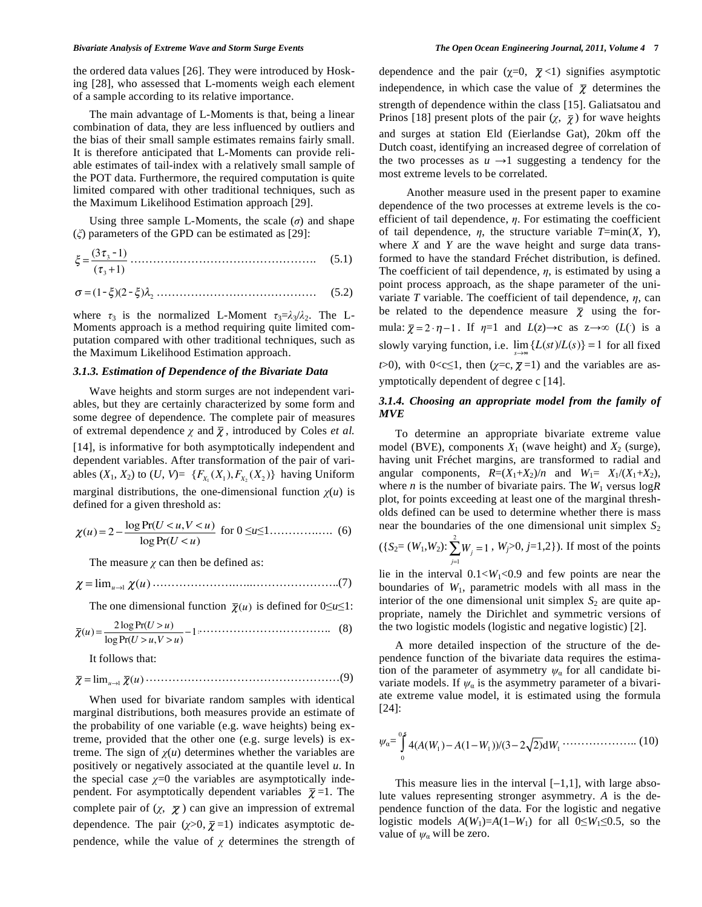#### *Bivariate Analysis of Extreme Wave and Storm Surge Events The Open Ocean Engineering Journal, 2011, Volume 4* **7**

the ordered data values [26]. They were introduced by Hosking [28], who assessed that L-moments weigh each element of a sample according to its relative importance.

The main advantage of L-Moments is that, being a linear combination of data, they are less influenced by outliers and the bias of their small sample estimates remains fairly small. It is therefore anticipated that L-Moments can provide reliable estimates of tail-index with a relatively small sample of the POT data. Furthermore, the required computation is quite limited compared with other traditional techniques, such as the Maximum Likelihood Estimation approach [29].

Using three sample L-Moments, the scale  $(\sigma)$  and shape  $(\xi)$  parameters of the GPD can be estimated as [29]:

$$
\xi = \frac{(3\tau_3 - 1)}{(\tau_3 + 1)} \dots \dots \dots \dots \dots \dots \dots \dots \dots \dots \dots \dots \dots \tag{5.1}
$$

$$
\sigma = (1 - \xi)(2 - \xi)\lambda_2 \dots \dots \dots \dots \dots \dots \dots \dots \dots \dots \dots \dots \tag{5.2}
$$

where  $\tau_3$  is the normalized L-Moment  $\tau_3 = \lambda_3/\lambda_2$ . The L-Moments approach is a method requiring quite limited computation compared with other traditional techniques, such as the Maximum Likelihood Estimation approach.

#### *3.1.3. Estimation of Dependence of the Bivariate Data*

Wave heights and storm surges are not independent variables, but they are certainly characterized by some form and some degree of dependence. The complete pair of measures of extremal dependence  $\chi$  and  $\overline{\chi}$ , introduced by Coles *et al.* [14], is informative for both asymptotically independent and dependent variables. After transformation of the pair of variables  $(X_1, X_2)$  to  $(U, V) = \{F_{X_1}(X_1), F_{X_2}(X_2)\}\)$  having Uniform marginal distributions, the one-dimensional function  $\chi(u)$  is defined for a given threshold as:

$$
\chi(u) = 2 - \frac{\log \Pr(U < u, V < u)}{\log \Pr(U < u)} \text{ for } 0 \le u \le 1, \dots, \dots, \quad (6)
$$

The measure  $\chi$  can then be defined as:

= lim*u*-<sup>1</sup> (*u*)………………….…..…………………..(7)

The one dimensional function  $\bar{\chi}(u)$  is defined for  $0 \le u \le 1$ :

$$
\overline{\chi}(u) = \frac{2\log \Pr(U > u)}{\log \Pr(U > u, V > u)} - 1 \dots \dots \dots \dots \dots \dots \dots \dots \dots \dots \tag{8}
$$

It follows that:

 = lim*u*-<sup>1</sup> (*u*)……………………………………………(9)

When used for bivariate random samples with identical marginal distributions, both measures provide an estimate of the probability of one variable (e.g. wave heights) being extreme, provided that the other one (e.g. surge levels) is extreme. The sign of  $\chi(u)$  determines whether the variables are positively or negatively associated at the quantile level *u*. In the special case  $\chi=0$  the variables are asymptotically independent. For asymptotically dependent variables  $\bar{\chi}$  =1. The complete pair of  $(\chi, \overline{\chi})$  can give an impression of extremal dependence. The pair  $(\chi > 0, \overline{\chi} = 1)$  indicates asymptotic dependence, while the value of  $\chi$  determines the strength of dependence and the pair  $(\chi=0, \overline{\chi}<1)$  signifies asymptotic independence, in which case the value of  $\bar{\chi}$  determines the strength of dependence within the class [15]. Galiatsatou and Prinos [18] present plots of the pair  $(\chi, \overline{\chi})$  for wave heights and surges at station Eld (Eierlandse Gat), 20km off the Dutch coast, identifying an increased degree of correlation of the two processes as  $u \rightarrow 1$  suggesting a tendency for the most extreme levels to be correlated.

 Another measure used in the present paper to examine dependence of the two processes at extreme levels is the coefficient of tail dependence,  $\eta$ . For estimating the coefficient of tail dependence,  $\eta$ , the structure variable  $T = min(X, Y)$ , where *X* and *Y* are the wave height and surge data transformed to have the standard Fréchet distribution, is defined. The coefficient of tail dependence,  $\eta$ , is estimated by using a point process approach, as the shape parameter of the univariate  $T$  variable. The coefficient of tail dependence,  $\eta$ , can be related to the dependence measure  $\bar{\chi}$  using the formula:  $\overline{\chi} = 2 \cdot \eta - 1$ . If  $\eta = 1$  and  $L(z) \rightarrow c$  as  $z \rightarrow \infty$  (*L*(*i*) is a slowly varying function, i.e.  $\lim_{s \to \infty} \{L(st)/L(s)\} = 1$  for all fixed *t*>0), with  $0 < c \le 1$ , then  $(*z*=c,  $\overline{\chi}$ =1)$  and the variables are asymptotically dependent of degree c [14].

#### *3.1.4. Choosing an appropriate model from the family of MVE*

To determine an appropriate bivariate extreme value model (BVE), components  $X_1$  (wave height) and  $X_2$  (surge), having unit Fréchet margins, are transformed to radial and angular components,  $R=(X_1+X_2)/n$  and  $W_1= X_1/(X_1+X_2)$ , where *n* is the number of bivariate pairs. The  $W_1$  versus  $logR$ plot, for points exceeding at least one of the marginal thresholds defined can be used to determine whether there is mass near the boundaries of the one dimensional unit simplex  $S_2$ 

$$
(\{S_2=(W_1,W_2): \sum_{j=1}^2 W_j=1, W_j>0, j=1,2\})
$$
. If most of the points

lie in the interval  $0.1 < W_1 < 0.9$  and few points are near the boundaries of *W*1, parametric models with all mass in the interior of the one dimensional unit simplex  $S_2$  are quite appropriate, namely the Dirichlet and symmetric versions of the two logistic models (logistic and negative logistic) [2].

A more detailed inspection of the structure of the dependence function of the bivariate data requires the estimation of the parameter of asymmetry  $\psi_{\alpha}$  for all candidate bivariate models. If  $\psi_{\alpha}$  is the asymmetry parameter of a bivariate extreme value model, it is estimated using the formula [24]:

$$
\psi_a = \int_0^5 4(A(W_1) - A(1 - W_1))/(3 - 2\sqrt{2})dW_1 \cdots \cdots \cdots \cdots \cdots \cdots \cdots (10)
$$

This measure lies in the interval  $[-1,1]$ , with large absolute values representing stronger asymmetry. *A* is the dependence function of the data. For the logistic and negative logistic models  $A(W_1)=A(1-W_1)$  for all  $0 \le W_1 \le 0.5$ , so the value of  $\psi_{\alpha}$  will be zero.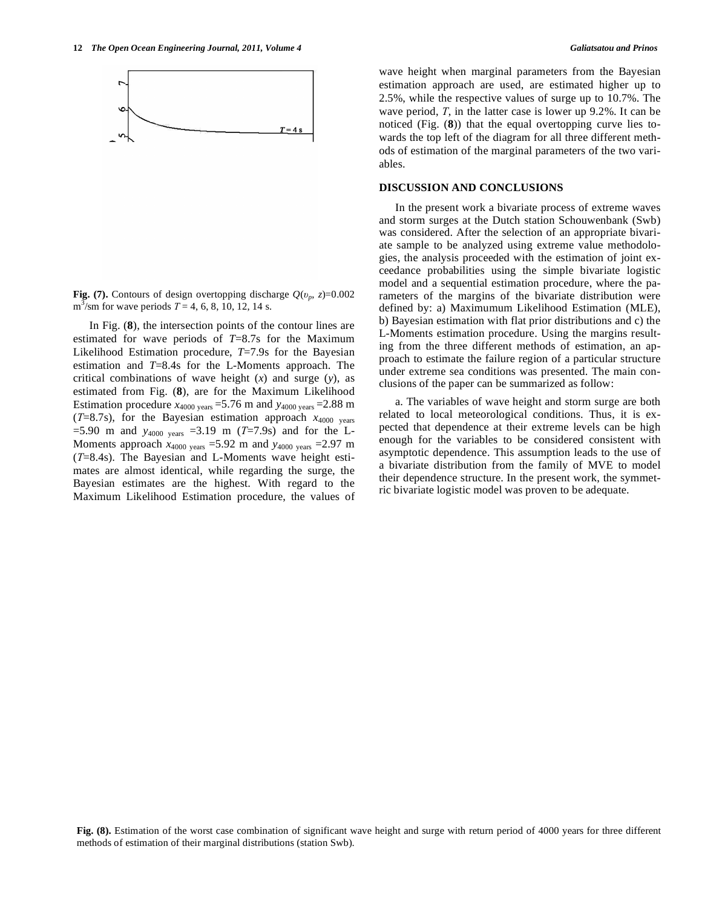In Fig. (**8**), the intersection points of the contour lines are estimated for wave periods of *T*=8.7s for the Maximum Likelihood Estimation procedure, *T*=7.9s for the Bayesian estimation and *T*=8.4s for the L-Moments approach. The critical combinations of wave height (*x*) and surge (*y*), as estimated from Fig. (**8**), are for the Maximum Likelihood Estimation procedure  $x_{4000 \text{ years}} = 5.76 \text{ m}$  and  $y_{4000 \text{ years}} = 2.88 \text{ m}$  $(T=8.7s)$ , for the Bayesian estimation approach  $x_{4000}$  years  $=$  5.90 m and  $y_{4000 \text{ years}} = 3.19 \text{ m}$  (*T*=7.9s) and for the L-Moments approach  $x_{4000 \text{ years}} = 5.92 \text{ m}$  and  $y_{4000 \text{ years}} = 2.97 \text{ m}$ (*T*=8.4s). The Bayesian and L-Moments wave height estimates are almost identical, while regarding the surge, the Bayesian estimates are the highest. With regard to the Maximum Likelihood Estimation procedure, the values of wave height when marginal parameters from the Bayesian estimation approach are used, are estimated higher up to 2.5%, while the respective values of surge up to 10.7%. The wave period,  $T$ , in the latter case is lower up  $9.2\%$ . It can be noticed (Fig. (**8**)) that the equal overtopping curve lies towards the top left of the diagram for all three different methods of estimation of the marginal parameters of the two variables.

# **DISCUSSION AND CONCLUSIONS**

In the present work a bivariate process of extreme waves and storm surges at the Dutch station Schouwenbank (Swb) was considered. After the selection of an appropriate bivariate sample to be analyzed using extreme value methodologies, the analysis proceeded with the estimation of joint exceedance probabilities using the simple bivariate logistic model and a sequential estimation procedure, where the parameters of the margins of the bivariate distribution were defined by: a) Maximumum Likelihood Estimation (MLE), b) Bayesian estimation with flat prior distributions and c) the L-Moments estimation procedure. Using the margins resulting from the three different methods of estimation, an approach to estimate the failure region of a particular structure under extreme sea conditions was presented. The main conclusions of the paper can be summarized as follow:

a. The variables of wave height and storm surge are both related to local meteorological conditions. Thus, it is expected that dependence at their extreme levels can be high enough for the variables to be considered consistent with asymptotic dependence. This assumption leads to the use of a bivariate distribution from the family of MVE to model their dependence structure. In the present work, the symmetric bivariate logistic model was proven to be adequate.

**Fig. (8).** Estimation of the worst case combination of significant wave height and surge with return period of 4000 years for three different methods of estimation of their marginal distributions (station Swb).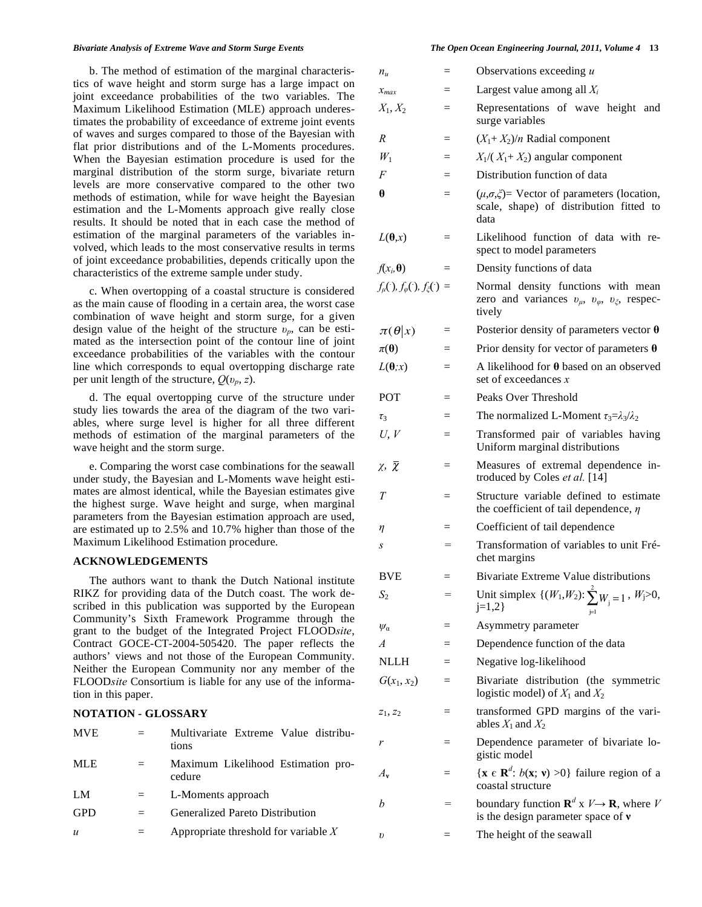b. The method of estimation of the marginal characteristics of wave height and storm surge has a large impact on joint exceedance probabilities of the two variables. The Maximum Likelihood Estimation (MLE) approach underestimates the probability of exceedance of extreme joint events of waves and surges compared to those of the Bayesian with flat prior distributions and of the L-Moments procedures. When the Bayesian estimation procedure is used for the marginal distribution of the storm surge, bivariate return levels are more conservative compared to the other two methods of estimation, while for wave height the Bayesian estimation and the L-Moments approach give really close results. It should be noted that in each case the method of estimation of the marginal parameters of the variables involved, which leads to the most conservative results in terms of joint exceedance probabilities, depends critically upon the characteristics of the extreme sample under study.

c. When overtopping of a coastal structure is considered as the main cause of flooding in a certain area, the worst case combination of wave height and storm surge, for a given design value of the height of the structure  $v_n$ , can be estimated as the intersection point of the contour line of joint exceedance probabilities of the variables with the contour line which corresponds to equal overtopping discharge rate per unit length of the structure,  $Q(v_n, z)$ .

d. The equal overtopping curve of the structure under study lies towards the area of the diagram of the two variables, where surge level is higher for all three different methods of estimation of the marginal parameters of the wave height and the storm surge.

e. Comparing the worst case combinations for the seawall under study, the Bayesian and L-Moments wave height estimates are almost identical, while the Bayesian estimates give the highest surge. Wave height and surge, when marginal parameters from the Bayesian estimation approach are used, are estimated up to 2.5% and 10.7% higher than those of the Maximum Likelihood Estimation procedure.

#### **ACKNOWLEDGEMENTS**

The authors want to thank the Dutch National institute RIKZ for providing data of the Dutch coast. The work described in this publication was supported by the European Community's Sixth Framework Programme through the grant to the budget of the Integrated Project FLOOD*site*, Contract GOCE-CT-2004-505420. The paper reflects the authors' views and not those of the European Community. Neither the European Community nor any member of the FLOOD*site* Consortium is liable for any use of the information in this paper.

### **NOTATION - GLOSSARY**

| <b>MVE</b>       |     | Multivariate Extreme Value distribu-<br>tions |
|------------------|-----|-----------------------------------------------|
| <b>MLE</b>       | $=$ | Maximum Likelihood Estimation pro-<br>cedure  |
| LM               | $=$ | L-Moments approach                            |
| <b>GPD</b>       | $=$ | Generalized Pareto Distribution               |
| $\boldsymbol{u}$ |     | Appropriate threshold for variable $X$        |

| $n_{\mu}$                                              |     | Observations exceeding $u$                                                                                             |
|--------------------------------------------------------|-----|------------------------------------------------------------------------------------------------------------------------|
| $x_{max}$                                              | $=$ | Largest value among all $X_i$                                                                                          |
| $X_1, X_2$                                             |     | Representations of wave height<br>and<br>surge variables                                                               |
| $\boldsymbol{R}$                                       | $=$ | $(X_1+X_2)/n$ Radial component                                                                                         |
| $W_1$                                                  |     | $X_1/(X_1+X_2)$ angular component                                                                                      |
| F                                                      | $=$ | Distribution function of data                                                                                          |
| θ                                                      | $=$ | $(\mu, \sigma, \xi)$ Vector of parameters (location,<br>scale, shape) of distribution fitted to<br>data                |
| $L(\theta,x)$                                          | $=$ | Likelihood function of data with re-<br>spect to model parameters                                                      |
| $f(x_i, \theta)$                                       | $=$ | Density functions of data                                                                                              |
| $f_{\mu}(\cdot), f_{\varphi}(\cdot), f_{\xi}(\cdot) =$ |     | Normal density functions with mean<br>zero and variances $v_{\mu}$ , $v_{\varphi}$ , $v_{\xi}$ , respec-<br>tively     |
| $\pi(\theta x)$                                        | $=$ | Posterior density of parameters vector $\theta$                                                                        |
| $\pi(\theta)$                                          |     | Prior density for vector of parameters $\theta$                                                                        |
| $L(\theta; x)$                                         |     | A likelihood for $\theta$ based on an observed<br>set of exceedances $x$                                               |
| POT                                                    |     | Peaks Over Threshold                                                                                                   |
| $\tau_3$                                               | $=$ | The normalized L-Moment $\tau_3 = \lambda_3/\lambda_2$                                                                 |
| U, V                                                   | $=$ | Transformed pair of variables having<br>Uniform marginal distributions                                                 |
| $\chi$ , $\overline{\chi}$                             | $=$ | Measures of extremal dependence in-<br>troduced by Coles et al. [14]                                                   |
| T                                                      |     | Structure variable defined to estimate<br>the coefficient of tail dependence, $\eta$                                   |
| η                                                      |     | Coefficient of tail dependence                                                                                         |
| S                                                      | $=$ | Transformation of variables to unit Fré-<br>chet margins                                                               |
| <b>BVE</b>                                             |     | Bivariate Extreme Value distributions                                                                                  |
| $S_2$                                                  |     | Unit simplex $\{(W_1, W_2): \sum_{j=1}^{n} W_j = 1, W_j > 0,$<br>$j=1,2$                                               |
| $\psi_{\alpha}$                                        | =   | Asymmetry parameter                                                                                                    |
| A                                                      |     | Dependence function of the data                                                                                        |
| <b>NLLH</b>                                            |     | Negative log-likelihood                                                                                                |
| $G(x_1, x_2)$                                          |     | Bivariate distribution (the symmetric<br>logistic model) of $X_1$ and $X_2$                                            |
| $z_1, z_2$                                             | $=$ | transformed GPD margins of the vari-<br>ables $X_1$ and $X_2$                                                          |
| r                                                      | $=$ | Dependence parameter of bivariate lo-<br>gistic model                                                                  |
| $A_{\mathbf{v}}$                                       | $=$ | { <b>x</b> $\in$ <b>R</b> <sup>d</sup> : <i>b</i> ( <b>x</b> ; <b>v</b> ) >0} failure region of a<br>coastal structure |
| b                                                      |     | boundary function $\mathbf{R}^d$ x $V \rightarrow \mathbf{R}$ , where V<br>is the design parameter space of v          |
| υ                                                      |     | The height of the seawall                                                                                              |